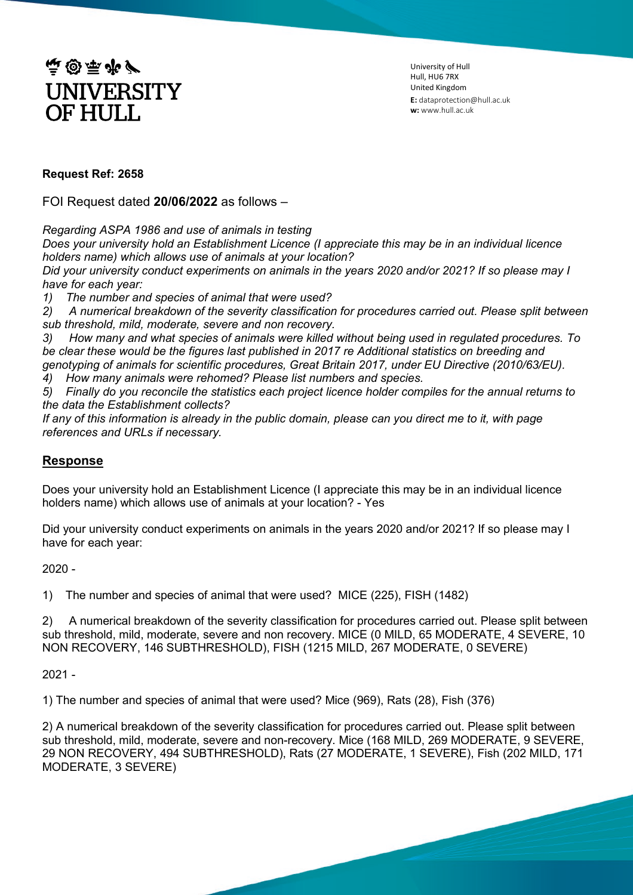

University of Hull Hull, HU6 7RX United Kingdom **E:** dataprotection@hull.ac.uk **w:** www.hull.ac.uk

## **Request Ref: 2658**

FOI Request dated **20/06/2022** as follows –

*Regarding ASPA 1986 and use of animals in testing* 

*Does your university hold an Establishment Licence (I appreciate this may be in an individual licence holders name) which allows use of animals at your location?*

*Did your university conduct experiments on animals in the years 2020 and/or 2021? If so please may I have for each year:*

*1) The number and species of animal that were used?*

*2) A numerical breakdown of the severity classification for procedures carried out. Please split between sub threshold, mild, moderate, severe and non recovery.* 

*3) How many and what species of animals were killed without being used in regulated procedures. To be clear these would be the figures last published in 2017 re Additional statistics on breeding and genotyping of animals for scientific procedures, Great Britain 2017, under EU Directive (2010/63/EU).*

*4) How many animals were rehomed? Please list numbers and species.*

*5) Finally do you reconcile the statistics each project licence holder compiles for the annual returns to the data the Establishment collects?* 

*If any of this information is already in the public domain, please can you direct me to it, with page references and URLs if necessary.*

## **Response**

Does your university hold an Establishment Licence (I appreciate this may be in an individual licence holders name) which allows use of animals at your location? - Yes

Did your university conduct experiments on animals in the years 2020 and/or 2021? If so please may I have for each year:

2020 -

1) The number and species of animal that were used? MICE (225), FISH (1482)

2) A numerical breakdown of the severity classification for procedures carried out. Please split between sub threshold, mild, moderate, severe and non recovery. MICE (0 MILD, 65 MODERATE, 4 SEVERE, 10 NON RECOVERY, 146 SUBTHRESHOLD), FISH (1215 MILD, 267 MODERATE, 0 SEVERE)

2021 -

1) The number and species of animal that were used? Mice (969), Rats (28), Fish (376)

2) A numerical breakdown of the severity classification for procedures carried out. Please split between sub threshold, mild, moderate, severe and non-recovery. Mice (168 MILD, 269 MODERATE, 9 SEVERE, 29 NON RECOVERY, 494 SUBTHRESHOLD), Rats (27 MODERATE, 1 SEVERE), Fish (202 MILD, 171 MODERATE, 3 SEVERE)